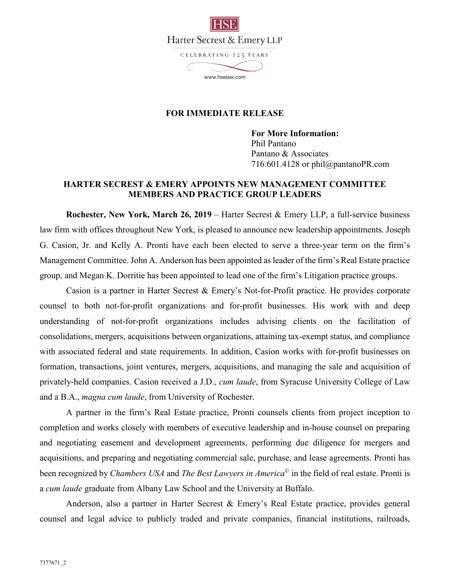

## **FOR IMMEDIATE RELEASE**

**For More Information:**  Phil Pantano Pantano & Associates 716.601.4128 or phil@pantanoPR.com

## **HARTER SECREST & EMERY APPOINTS NEW MANAGEMENT COMMITTEE MEMBERS AND PRACTICE GROUP LEADERS**

**Rochester, New York, March 26, 2019** – Harter Secrest & Emery LLP, a full-service business law firm with offices throughout New York, is pleased to announce new leadership appointments. Joseph G. Casion, Jr. and Kelly A. Pronti have each been elected to serve a three-year term on the firm's Management Committee. John A. Anderson has been appointed as leader of the firm's Real Estate practice group, and Megan K. Dorritie has been appointed to lead one of the firm's Litigation practice groups.

Casion is a partner in Harter Secrest & Emery's Not-for-Profit practice. He provides corporate counsel to both not-for-profit organizations and for-profit businesses. His work with and deep understanding of not-for-profit organizations includes advising clients on the facilitation of consolidations, mergers, acquisitions between organizations, attaining tax-exempt status, and compliance with associated federal and state requirements. In addition, Casion works with for-profit businesses on formation, transactions, joint ventures, mergers, acquisitions, and managing the sale and acquisition of privately-held companies. Casion received a J.D., *cum laude*, from Syracuse University College of Law and a B.A., *magna cum laude*, from University of Rochester.

A partner in the firm's Real Estate practice, Pronti counsels clients from project inception to completion and works closely with members of executive leadership and in-house counsel on preparing and negotiating easement and development agreements, performing due diligence for mergers and acquisitions, and preparing and negotiating commercial sale, purchase, and lease agreements. Pronti has been recognized by *Chambers USA* and *The Best Lawyers in America*© in the field of real estate. Pronti is a *cum laude* graduate from Albany Law School and the University at Buffalo.

Anderson, also a partner in Harter Secrest & Emery's Real Estate practice, provides general counsel and legal advice to publicly traded and private companies, financial institutions, railroads,